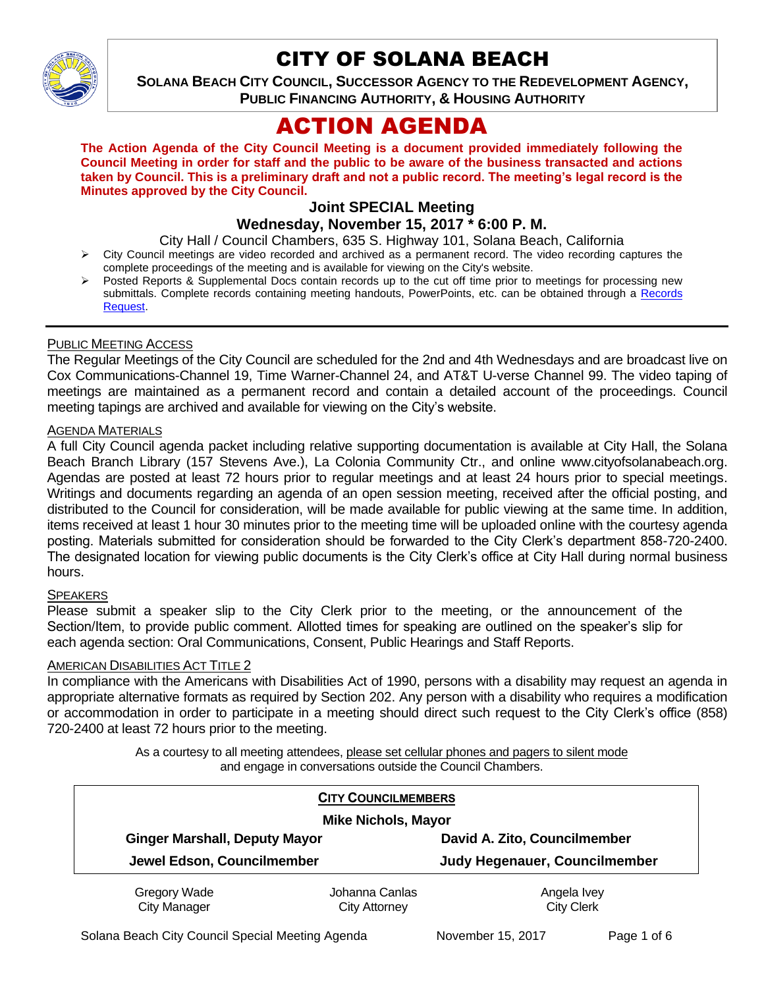

# CITY OF SOLANA BEACH

**SOLANA BEACH CITY COUNCIL, SUCCESSOR AGENCY TO THE REDEVELOPMENT AGENCY, PUBLIC FINANCING AUTHORITY, & HOUSING AUTHORITY** 

# ACTION AGENDA

**The Action Agenda of the City Council Meeting is a document provided immediately following the Council Meeting in order for staff and the public to be aware of the business transacted and actions taken by Council. This is a preliminary draft and not a public record. The meeting's legal record is the Minutes approved by the City Council.**

# **Joint SPECIAL Meeting**

## **Wednesday, November 15, 2017 \* 6:00 P. M.**

City Hall / Council Chambers, 635 S. Highway 101, Solana Beach, California

- City Council meetings are video recorded and archived as a permanent record. The video recording captures the complete proceedings of the meeting and is available for viewing on the City's website.
- Posted Reports & Supplemental Docs contain records up to the cut off time prior to meetings for processing new submittals. Complete records containing meeting handouts, PowerPoints, etc. can be obtained through a Records [Request.](http://www.ci.solana-beach.ca.us/index.asp?SEC=F5D45D10-70CE-4291-A27C-7BD633FC6742&Type=B_BASIC)

#### PUBLIC MEETING ACCESS

The Regular Meetings of the City Council are scheduled for the 2nd and 4th Wednesdays and are broadcast live on Cox Communications-Channel 19, Time Warner-Channel 24, and AT&T U-verse Channel 99. The video taping of meetings are maintained as a permanent record and contain a detailed account of the proceedings. Council meeting tapings are archived and available for viewing on the City's website.

#### AGENDA MATERIALS

A full City Council agenda packet including relative supporting documentation is available at City Hall, the Solana Beach Branch Library (157 Stevens Ave.), La Colonia Community Ctr., and online www.cityofsolanabeach.org. Agendas are posted at least 72 hours prior to regular meetings and at least 24 hours prior to special meetings. Writings and documents regarding an agenda of an open session meeting, received after the official posting, and distributed to the Council for consideration, will be made available for public viewing at the same time. In addition, items received at least 1 hour 30 minutes prior to the meeting time will be uploaded online with the courtesy agenda posting. Materials submitted for consideration should be forwarded to the City Clerk's department 858-720-2400. The designated location for viewing public documents is the City Clerk's office at City Hall during normal business hours.

#### **SPEAKERS**

Please submit a speaker slip to the City Clerk prior to the meeting, or the announcement of the Section/Item, to provide public comment. Allotted times for speaking are outlined on the speaker's slip for each agenda section: Oral Communications, Consent, Public Hearings and Staff Reports.

#### **AMERICAN DISABILITIES ACT TITLE 2**

In compliance with the Americans with Disabilities Act of 1990, persons with a disability may request an agenda in appropriate alternative formats as required by Section 202. Any person with a disability who requires a modification or accommodation in order to participate in a meeting should direct such request to the City Clerk's office (858) 720-2400 at least 72 hours prior to the meeting.

> As a courtesy to all meeting attendees, please set cellular phones and pagers to silent mode and engage in conversations outside the Council Chambers.

| <b>CITY COUNCILMEMBERS</b><br><b>Mike Nichols, Mayor</b> |                |                               |
|----------------------------------------------------------|----------------|-------------------------------|
| <b>Ginger Marshall, Deputy Mayor</b>                     |                | David A. Zito, Councilmember  |
| Jewel Edson, Councilmember                               |                | Judy Hegenauer, Councilmember |
| Gregory Wade                                             | Johanna Canlas | Angela Ivey                   |
| <b>City Manager</b>                                      | City Attorney  | <b>City Clerk</b>             |

Solana Beach City Council Special Meeting Agenda November 15, 2017 Page 1 of 6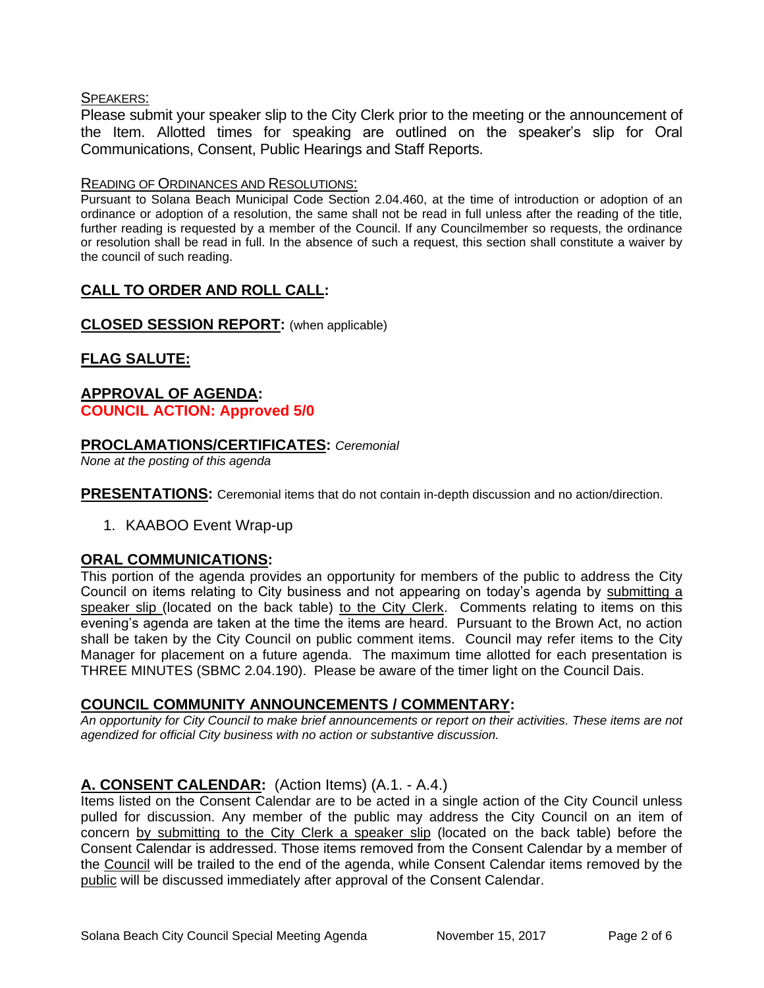## SPEAKERS:

Please submit your speaker slip to the City Clerk prior to the meeting or the announcement of the Item. Allotted times for speaking are outlined on the speaker's slip for Oral Communications, Consent, Public Hearings and Staff Reports.

### READING OF ORDINANCES AND RESOLUTIONS:

Pursuant to Solana Beach Municipal Code Section 2.04.460, at the time of introduction or adoption of an ordinance or adoption of a resolution, the same shall not be read in full unless after the reading of the title, further reading is requested by a member of the Council. If any Councilmember so requests, the ordinance or resolution shall be read in full. In the absence of such a request, this section shall constitute a waiver by the council of such reading.

# **CALL TO ORDER AND ROLL CALL:**

**CLOSED SESSION REPORT:** (when applicable)

# **FLAG SALUTE:**

## **APPROVAL OF AGENDA: COUNCIL ACTION: Approved 5/0**

## **PROCLAMATIONS/CERTIFICATES:** *Ceremonial*

*None at the posting of this agenda*

**PRESENTATIONS:** Ceremonial items that do not contain in-depth discussion and no action/direction.

1. KAABOO Event Wrap-up

# **ORAL COMMUNICATIONS:**

This portion of the agenda provides an opportunity for members of the public to address the City Council on items relating to City business and not appearing on today's agenda by submitting a speaker slip (located on the back table) to the City Clerk. Comments relating to items on this evening's agenda are taken at the time the items are heard. Pursuant to the Brown Act, no action shall be taken by the City Council on public comment items. Council may refer items to the City Manager for placement on a future agenda. The maximum time allotted for each presentation is THREE MINUTES (SBMC 2.04.190). Please be aware of the timer light on the Council Dais.

# **COUNCIL COMMUNITY ANNOUNCEMENTS / COMMENTARY:**

*An opportunity for City Council to make brief announcements or report on their activities. These items are not agendized for official City business with no action or substantive discussion.* 

# **A. CONSENT CALENDAR:** (Action Items) (A.1. - A.4.)

Items listed on the Consent Calendar are to be acted in a single action of the City Council unless pulled for discussion. Any member of the public may address the City Council on an item of concern by submitting to the City Clerk a speaker slip (located on the back table) before the Consent Calendar is addressed. Those items removed from the Consent Calendar by a member of the Council will be trailed to the end of the agenda, while Consent Calendar items removed by the public will be discussed immediately after approval of the Consent Calendar.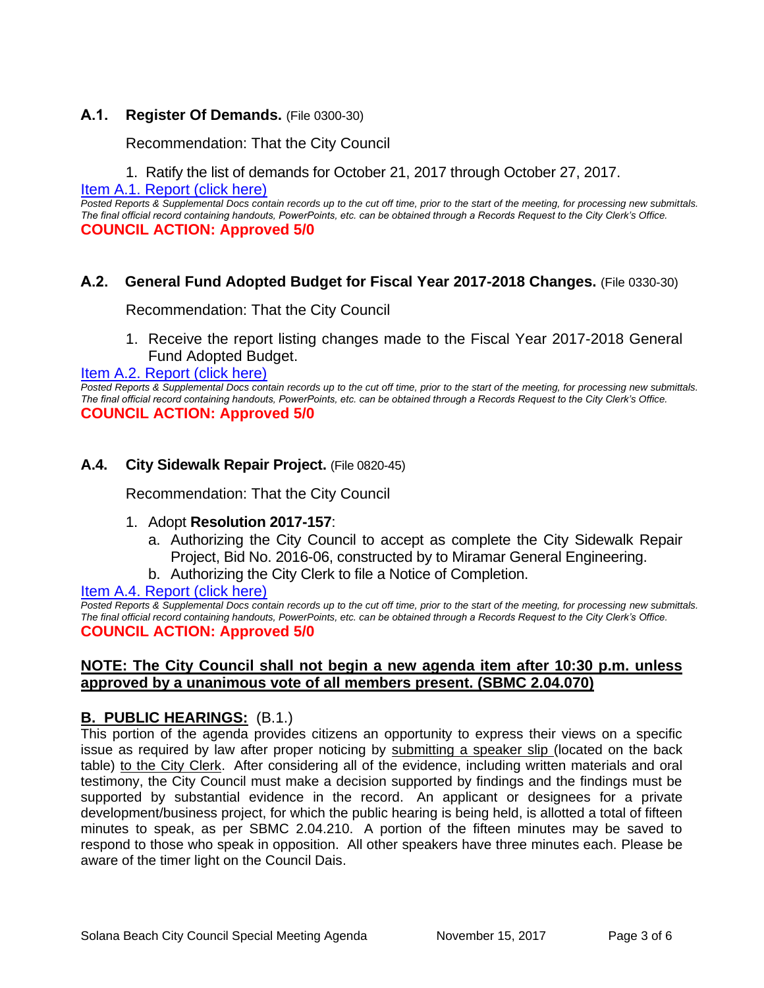## **A.1. Register Of Demands.** (File 0300-30)

Recommendation: That the City Council

1. Ratify the list of demands for October 21, 2017 through October 27, 2017.

[Item A.1. Report \(click here\)](https://solanabeach.govoffice3.com/vertical/Sites/%7B840804C2-F869-4904-9AE3-720581350CE7%7D/uploads/Item_A.1._Report_(click_here)_-_11-15-17.PDF)

*Posted Reports & Supplemental Docs contain records up to the cut off time, prior to the start of the meeting, for processing new submittals. The final official record containing handouts, PowerPoints, etc. can be obtained through a Records Request to the City Clerk's Office.* **COUNCIL ACTION: Approved 5/0**

## **A.2. General Fund Adopted Budget for Fiscal Year 2017-2018 Changes.** (File 0330-30)

Recommendation: That the City Council

1. Receive the report listing changes made to the Fiscal Year 2017-2018 General Fund Adopted Budget.

[Item A.2. Report \(click here\)](https://solanabeach.govoffice3.com/vertical/Sites/%7B840804C2-F869-4904-9AE3-720581350CE7%7D/uploads/Item_A.2._Report_(click_here)_-_11-15-17.PDF)

*Posted Reports & Supplemental Docs contain records up to the cut off time, prior to the start of the meeting, for processing new submittals. The final official record containing handouts, PowerPoints, etc. can be obtained through a Records Request to the City Clerk's Office.* **COUNCIL ACTION: Approved 5/0**

#### **A.4. City Sidewalk Repair Project.** (File 0820-45)

Recommendation: That the City Council

- 1. Adopt **Resolution 2017-157**:
	- a. Authorizing the City Council to accept as complete the City Sidewalk Repair Project, Bid No. 2016-06, constructed by to Miramar General Engineering.
	- b. Authorizing the City Clerk to file a Notice of Completion.

[Item A.4. Report \(click here\)](https://solanabeach.govoffice3.com/vertical/Sites/%7B840804C2-F869-4904-9AE3-720581350CE7%7D/uploads/Item_A.4._Report_(click_here)_-_11-15-17.PDF)

*Posted Reports & Supplemental Docs contain records up to the cut off time, prior to the start of the meeting, for processing new submittals. The final official record containing handouts, PowerPoints, etc. can be obtained through a Records Request to the City Clerk's Office.* **COUNCIL ACTION: Approved 5/0**

#### **NOTE: The City Council shall not begin a new agenda item after 10:30 p.m. unless approved by a unanimous vote of all members present. (SBMC 2.04.070)**

# **B. PUBLIC HEARINGS:** (B.1.)

This portion of the agenda provides citizens an opportunity to express their views on a specific issue as required by law after proper noticing by submitting a speaker slip (located on the back table) to the City Clerk. After considering all of the evidence, including written materials and oral testimony, the City Council must make a decision supported by findings and the findings must be supported by substantial evidence in the record. An applicant or designees for a private development/business project, for which the public hearing is being held, is allotted a total of fifteen minutes to speak, as per SBMC 2.04.210. A portion of the fifteen minutes may be saved to respond to those who speak in opposition. All other speakers have three minutes each. Please be aware of the timer light on the Council Dais.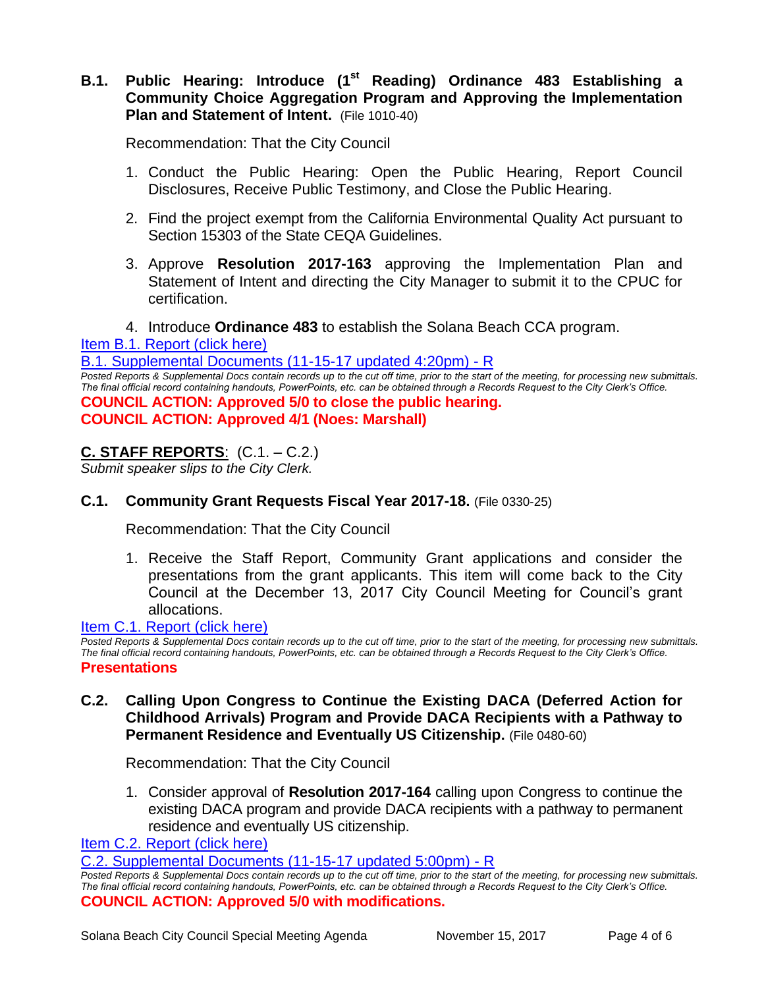# B.1. Public Hearing: Introduce (1<sup>st</sup> Reading) Ordinance 483 Establishing a **Community Choice Aggregation Program and Approving the Implementation Plan and Statement of Intent.** (File 1010-40)

Recommendation: That the City Council

- 1. Conduct the Public Hearing: Open the Public Hearing, Report Council Disclosures, Receive Public Testimony, and Close the Public Hearing.
- 2. Find the project exempt from the California Environmental Quality Act pursuant to Section 15303 of the State CEQA Guidelines.
- 3. Approve **Resolution 2017-163** approving the Implementation Plan and Statement of Intent and directing the City Manager to submit it to the CPUC for certification.
- 4. Introduce **Ordinance 483** to establish the Solana Beach CCA program.

[Item B.1. Report \(click here\)](https://solanabeach.govoffice3.com/vertical/Sites/%7B840804C2-F869-4904-9AE3-720581350CE7%7D/uploads/Item_B.1._Report_(click_here)_-_11-15-17.PDF)

B.1. Supplemental [Documents \(11-15-17 updated 4:20pm\) -](https://solanabeach.govoffice3.com/vertical/Sites/%7B840804C2-F869-4904-9AE3-720581350CE7%7D/uploads/B.1._Supplemental_Documents_(11-15-17_updated_420pm)_-_R.pdf) R

*Posted Reports & Supplemental Docs contain records up to the cut off time, prior to the start of the meeting, for processing new submittals. The final official record containing handouts, PowerPoints, etc. can be obtained through a Records Request to the City Clerk's Office.* **COUNCIL ACTION: Approved 5/0 to close the public hearing. COUNCIL ACTION: Approved 4/1 (Noes: Marshall)**

# **C. STAFF REPORTS**: (C.1. – C.2.)

*Submit speaker slips to the City Clerk.*

# **C.1. Community Grant Requests Fiscal Year 2017-18.** (File 0330-25)

Recommendation: That the City Council

1. Receive the Staff Report, Community Grant applications and consider the presentations from the grant applicants. This item will come back to the City Council at the December 13, 2017 City Council Meeting for Council's grant allocations.

[Item C.1. Report \(click here\)](https://solanabeach.govoffice3.com/vertical/Sites/%7B840804C2-F869-4904-9AE3-720581350CE7%7D/uploads/Item_C.1._Report_(click_here)_-_11-15-17.PDF)

*Posted Reports & Supplemental Docs contain records up to the cut off time, prior to the start of the meeting, for processing new submittals. The final official record containing handouts, PowerPoints, etc. can be obtained through a Records Request to the City Clerk's Office.* **Presentations**

**C.2. Calling Upon Congress to Continue the Existing DACA (Deferred Action for Childhood Arrivals) Program and Provide DACA Recipients with a Pathway to Permanent Residence and Eventually US Citizenship.** (File 0480-60)

Recommendation: That the City Council

1. Consider approval of **Resolution 2017-164** calling upon Congress to continue the existing DACA program and provide DACA recipients with a pathway to permanent residence and eventually US citizenship.

[Item C.2. Report \(click here\)](https://solanabeach.govoffice3.com/vertical/Sites/%7B840804C2-F869-4904-9AE3-720581350CE7%7D/uploads/Item_C.2._Report_(click_here)_-_11-15-17.PDF)

C.2. Supplemental [Documents \(11-15-17 updated 5:00pm\)](https://solanabeach.govoffice3.com/vertical/Sites/%7B840804C2-F869-4904-9AE3-720581350CE7%7D/uploads/C.2._Supplemental_Documents_(11-15-17_updated_5pm)_-_R.pdf) - R

*Posted Reports & Supplemental Docs contain records up to the cut off time, prior to the start of the meeting, for processing new submittals. The final official record containing handouts, PowerPoints, etc. can be obtained through a Records Request to the City Clerk's Office.* **COUNCIL ACTION: Approved 5/0 with modifications.**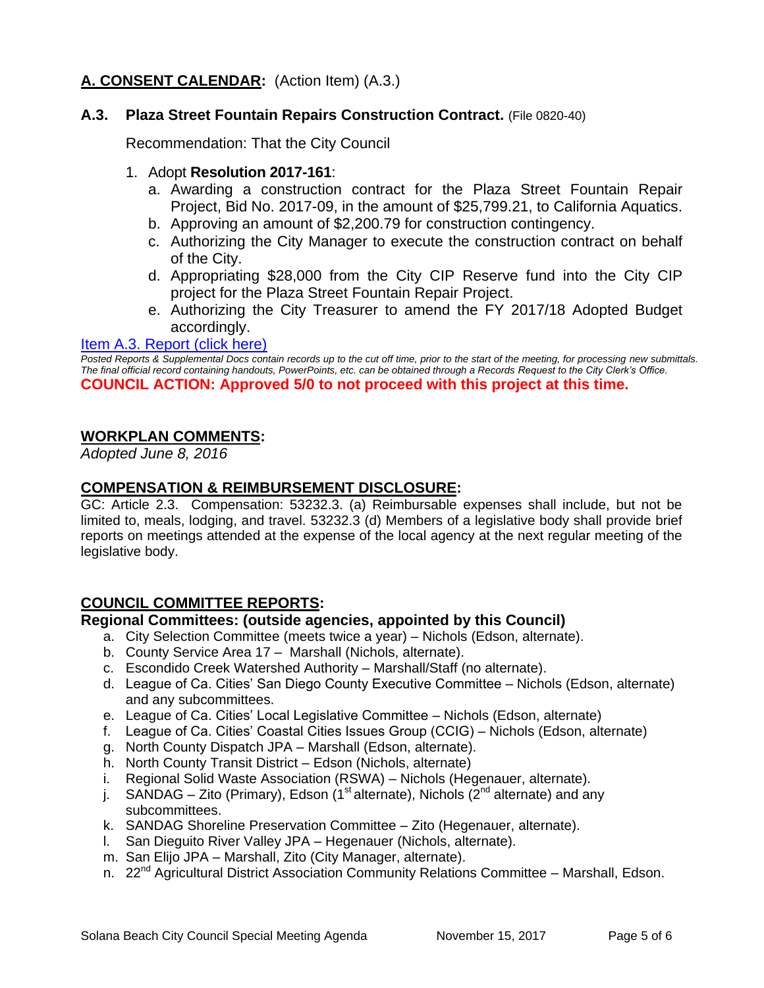# **A. CONSENT CALENDAR:** (Action Item) (A.3.)

## **A.3. Plaza Street Fountain Repairs Construction Contract.** (File 0820-40)

Recommendation: That the City Council

#### 1. Adopt **Resolution 2017-161**:

- a. Awarding a construction contract for the Plaza Street Fountain Repair Project, Bid No. 2017-09, in the amount of \$25,799.21, to California Aquatics.
- b. Approving an amount of \$2,200.79 for construction contingency.
- c. Authorizing the City Manager to execute the construction contract on behalf of the City.
- d. Appropriating \$28,000 from the City CIP Reserve fund into the City CIP project for the Plaza Street Fountain Repair Project.
- e. Authorizing the City Treasurer to amend the FY 2017/18 Adopted Budget accordingly.

#### [Item A.3. Report \(click here\)](https://solanabeach.govoffice3.com/vertical/Sites/%7B840804C2-F869-4904-9AE3-720581350CE7%7D/uploads/Item_A.3._Report_(click_here)_-_11-15-17.PDF)

*Posted Reports & Supplemental Docs contain records up to the cut off time, prior to the start of the meeting, for processing new submittals. The final official record containing handouts, PowerPoints, etc. can be obtained through a Records Request to the City Clerk's Office.* **COUNCIL ACTION: Approved 5/0 to not proceed with this project at this time.**

## **WORKPLAN COMMENTS:**

*Adopted June 8, 2016*

### **COMPENSATION & REIMBURSEMENT DISCLOSURE:**

GC: Article 2.3. Compensation: 53232.3. (a) Reimbursable expenses shall include, but not be limited to, meals, lodging, and travel. 53232.3 (d) Members of a legislative body shall provide brief reports on meetings attended at the expense of the local agency at the next regular meeting of the legislative body.

#### **COUNCIL COMMITTEE REPORTS:**

#### **Regional Committees: (outside agencies, appointed by this Council)**

- a. City Selection Committee (meets twice a year) Nichols (Edson, alternate).
- b. County Service Area 17 Marshall (Nichols, alternate).
- c. Escondido Creek Watershed Authority Marshall/Staff (no alternate).
- d. League of Ca. Cities' San Diego County Executive Committee Nichols (Edson, alternate) and any subcommittees.
- e. League of Ca. Cities' Local Legislative Committee Nichols (Edson, alternate)
- f. League of Ca. Cities' Coastal Cities Issues Group (CCIG) Nichols (Edson, alternate)
- g. North County Dispatch JPA Marshall (Edson, alternate).
- h. North County Transit District Edson (Nichols, alternate)
- i. Regional Solid Waste Association (RSWA) Nichols (Hegenauer, alternate).
- j. SANDAG Zito (Primary), Edson (1<sup>st</sup> alternate), Nichols ( $2<sup>nd</sup>$  alternate) and any subcommittees.
- k. SANDAG Shoreline Preservation Committee Zito (Hegenauer, alternate).
- l. San Dieguito River Valley JPA Hegenauer (Nichols, alternate).
- m. San Elijo JPA Marshall, Zito (City Manager, alternate).
- n. 22<sup>nd</sup> Agricultural District Association Community Relations Committee Marshall, Edson.